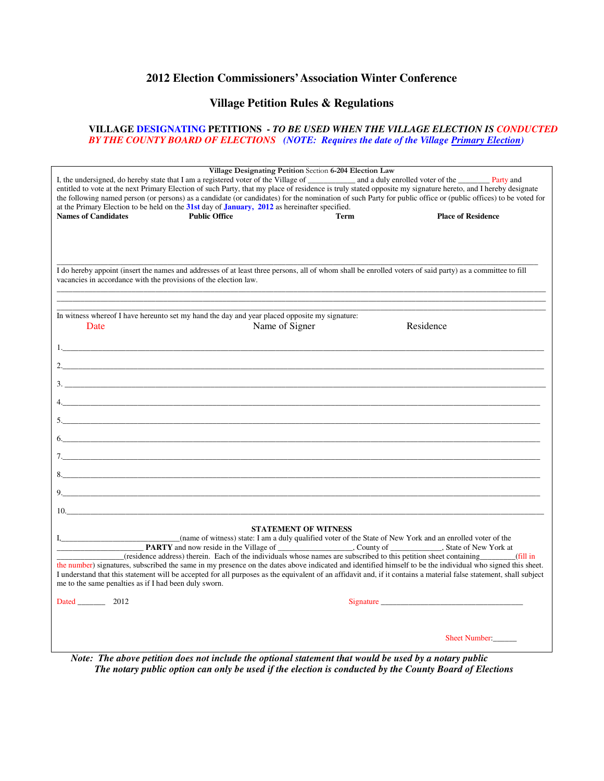# **2012 Election Commissioners' Association Winter Conference**

# **Village Petition Rules & Regulations**

## **VILLAGE DESIGNATING PETITIONS -** *TO BE USED WHEN THE VILLAGE ELECTION IS CONDUCTED BY THE COUNTY BOARD OF ELECTIONS**(NOTE: Requires the date of the Village Primary Election)*

| I, the undersigned, do hereby state that I am a registered voter of the Village of _________________                                                                                                                                                                                                                                                                                                                           | Village Designating Petition Section 6-204 Election Law | and a duly enrolled voter of the Party and                                                                                 |
|--------------------------------------------------------------------------------------------------------------------------------------------------------------------------------------------------------------------------------------------------------------------------------------------------------------------------------------------------------------------------------------------------------------------------------|---------------------------------------------------------|----------------------------------------------------------------------------------------------------------------------------|
| entitled to vote at the next Primary Election of such Party, that my place of residence is truly stated opposite my signature hereto, and I hereby designate<br>the following named person (or persons) as a candidate (or candidates) for the nomination of such Party for public office or (public offices) to be voted for<br>at the Primary Election to be held on the 31st day of January, 2012 as hereinafter specified. |                                                         |                                                                                                                            |
| <b>Names of Candidates</b><br><b>Public Office</b>                                                                                                                                                                                                                                                                                                                                                                             | Term                                                    | <b>Place of Residence</b>                                                                                                  |
|                                                                                                                                                                                                                                                                                                                                                                                                                                |                                                         |                                                                                                                            |
|                                                                                                                                                                                                                                                                                                                                                                                                                                |                                                         |                                                                                                                            |
|                                                                                                                                                                                                                                                                                                                                                                                                                                |                                                         |                                                                                                                            |
| I do hereby appoint (insert the names and addresses of at least three persons, all of whom shall be enrolled voters of said party) as a committee to fill<br>vacancies in accordance with the provisions of the election law.                                                                                                                                                                                                  |                                                         |                                                                                                                            |
|                                                                                                                                                                                                                                                                                                                                                                                                                                |                                                         |                                                                                                                            |
| In witness whereof I have hereunto set my hand the day and year placed opposite my signature:                                                                                                                                                                                                                                                                                                                                  |                                                         |                                                                                                                            |
| Date                                                                                                                                                                                                                                                                                                                                                                                                                           | Name of Signer                                          | Residence                                                                                                                  |
| 1.                                                                                                                                                                                                                                                                                                                                                                                                                             |                                                         |                                                                                                                            |
| 2. $\blacksquare$                                                                                                                                                                                                                                                                                                                                                                                                              |                                                         |                                                                                                                            |
|                                                                                                                                                                                                                                                                                                                                                                                                                                |                                                         |                                                                                                                            |
|                                                                                                                                                                                                                                                                                                                                                                                                                                |                                                         |                                                                                                                            |
|                                                                                                                                                                                                                                                                                                                                                                                                                                |                                                         |                                                                                                                            |
| 5. $\blacksquare$ . $\blacksquare$ . The set of the set of the set of the set of the set of the set of the set of the set of the set of the set of the set of the set of the set of the set of the set of the set of the set of the set of th                                                                                                                                                                                  |                                                         |                                                                                                                            |
|                                                                                                                                                                                                                                                                                                                                                                                                                                |                                                         |                                                                                                                            |
| 7.                                                                                                                                                                                                                                                                                                                                                                                                                             |                                                         |                                                                                                                            |
|                                                                                                                                                                                                                                                                                                                                                                                                                                |                                                         |                                                                                                                            |
|                                                                                                                                                                                                                                                                                                                                                                                                                                |                                                         |                                                                                                                            |
|                                                                                                                                                                                                                                                                                                                                                                                                                                |                                                         |                                                                                                                            |
| 10.                                                                                                                                                                                                                                                                                                                                                                                                                            |                                                         |                                                                                                                            |
|                                                                                                                                                                                                                                                                                                                                                                                                                                | <b>STATEMENT OF WITNESS</b>                             |                                                                                                                            |
|                                                                                                                                                                                                                                                                                                                                                                                                                                |                                                         | (name of witness) state: I am a duly qualified voter of the State of New York and an enrolled voter of the                 |
| the number) signatures, subscribed the same in my presence on the dates above indicated and identified himself to be the individual who signed this sheet.                                                                                                                                                                                                                                                                     |                                                         | (residence address) therein. Each of the individuals whose names are subscribed to this petition sheet containing (fill in |
| I understand that this statement will be accepted for all purposes as the equivalent of an affidavit and, if it contains a material false statement, shall subject<br>me to the same penalties as if I had been duly sworn.                                                                                                                                                                                                    |                                                         |                                                                                                                            |
| Dated 2012                                                                                                                                                                                                                                                                                                                                                                                                                     |                                                         | Signature                                                                                                                  |
|                                                                                                                                                                                                                                                                                                                                                                                                                                |                                                         |                                                                                                                            |
|                                                                                                                                                                                                                                                                                                                                                                                                                                |                                                         | <b>Sheet Number:</b>                                                                                                       |
|                                                                                                                                                                                                                                                                                                                                                                                                                                |                                                         |                                                                                                                            |

*Note: The above petition does not include the optional statement that would be used by a notary public* *The notary public option can only be used if the election is conducted by the County Board of Elections*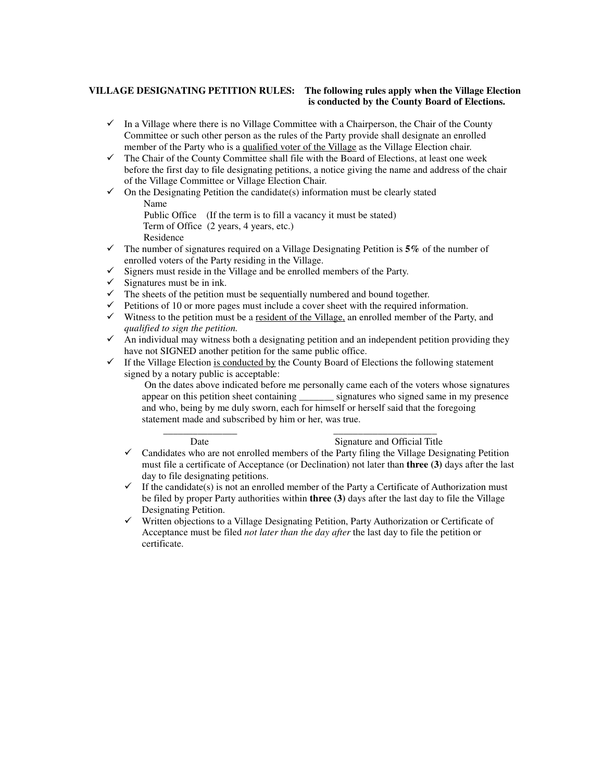# **VILLAGE DESIGNATING PETITION RULES: The following rules apply when the Village Election is conducted by the County Board of Elections.**

- $\checkmark$  In a Village where there is no Village Committee with a Chairperson, the Chair of the County Committee or such other person as the rules of the Party provide shall designate an enrolled member of the Party who is a qualified voter of the Village as the Village Election chair.
- $\checkmark$  The Chair of the County Committee shall file with the Board of Elections, at least one week before the first day to file designating petitions, a notice giving the name and address of the chair of the Village Committee or Village Election Chair.
- $\checkmark$  On the Designating Petition the candidate(s) information must be clearly stated Name
	- Public Office (If the term is to fill a vacancy it must be stated)
	- Term of Office (2 years, 4 years, etc.)
	- Residence
- $\checkmark$  The number of signatures required on a Village Designating Petition is **5%** of the number of enrolled voters of the Party residing in the Village.
- $\checkmark$  Signers must reside in the Village and be enrolled members of the Party.
- $\checkmark$  Signatures must be in ink.
- $\checkmark$  The sheets of the petition must be sequentially numbered and bound together.
- $\checkmark$  Petitions of 10 or more pages must include a cover sheet with the required information.
- $\checkmark$  Witness to the petition must be a <u>resident of the Village,</u> an enrolled member of the Party, and *qualified to sign the petition.*
- $\checkmark$  An individual may witness both a designating petition and an independent petition providing they have not SIGNED another petition for the same public office.
- $\checkmark$  If the Village Election is conducted by the County Board of Elections the following statement signed by a notary public is acceptable:
	- On the dates above indicated before me personally came each of the voters whose signatures appear on this petition sheet containing \_\_\_\_\_\_\_ signatures who signed same in my presence and who, being by me duly sworn, each for himself or herself said that the foregoing statement made and subscribed by him or her, was true.

#### $\overline{\phantom{a}}$  ,  $\overline{\phantom{a}}$  ,  $\overline{\phantom{a}}$  ,  $\overline{\phantom{a}}$  ,  $\overline{\phantom{a}}$  ,  $\overline{\phantom{a}}$  ,  $\overline{\phantom{a}}$  ,  $\overline{\phantom{a}}$  ,  $\overline{\phantom{a}}$  ,  $\overline{\phantom{a}}$  ,  $\overline{\phantom{a}}$  ,  $\overline{\phantom{a}}$  ,  $\overline{\phantom{a}}$  ,  $\overline{\phantom{a}}$  ,  $\overline{\phantom{a}}$  ,  $\overline{\phantom{a}}$ **Date** Signature and Official Title

- $\checkmark$  Candidates who are not enrolled members of the Party filing the Village Designating Petition must file a certificate of Acceptance (or Declination) not later than **three (3)** days after the last day to file designating petitions.
- $\checkmark$  If the candidate(s) is not an enrolled member of the Party a Certificate of Authorization must be filed by proper Party authorities within **three (3)** days after the last day to file the Village Designating Petition.
- $\checkmark$  Written objections to a Village Designating Petition, Party Authorization or Certificate of Acceptance must be filed *not later than the day after* the last day to file the petition or certificate.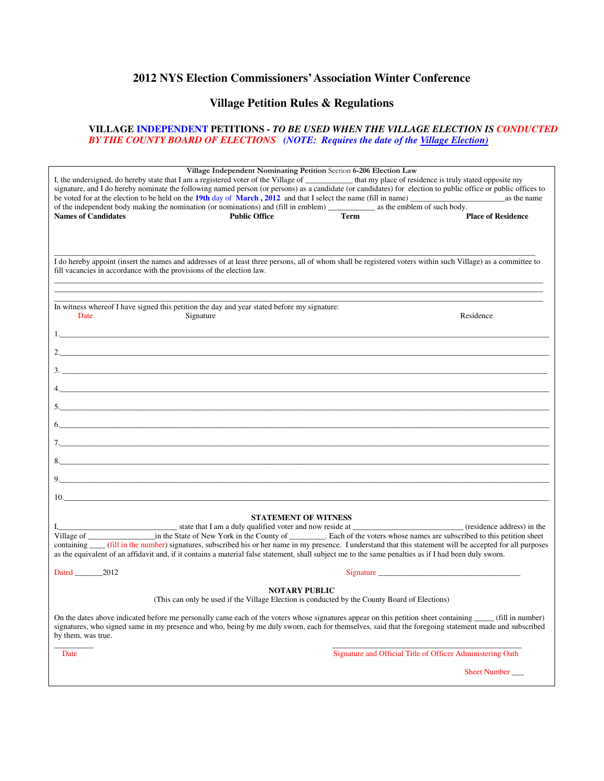# **2012 NYS Election Commissioners' Association Winter Conference**

# **Village Petition Rules & Regulations**

## **VILLAGE INDEPENDENT PETITIONS -** *TO BE USED WHEN THE VILLAGE ELECTION IS CONDUCTED BY THE COUNTY BOARD OF ELECTIONS**(NOTE: Requires the date of the Village Election)*

| Village Independent Nominating Petition Section 6-206 Election Law<br>I, the undersigned, do hereby state that I am a registered voter of the Village of _________ that my place of residence is truly stated opposite my<br>signature, and I do hereby nominate the following named person (or persons) as a candidate (or candidates) for election to public office or public offices to<br>be voted for at the election to be held on the 19th day of March, 2012 and that I select the name (fill in name) sas the name<br>of the independent body making the nomination (or nominations) and (fill in emblem) ______________ as the emblem of such body. |                                                                                                                       |                                                            |                           |  |  |
|---------------------------------------------------------------------------------------------------------------------------------------------------------------------------------------------------------------------------------------------------------------------------------------------------------------------------------------------------------------------------------------------------------------------------------------------------------------------------------------------------------------------------------------------------------------------------------------------------------------------------------------------------------------|-----------------------------------------------------------------------------------------------------------------------|------------------------------------------------------------|---------------------------|--|--|
| <b>Names of Candidates</b>                                                                                                                                                                                                                                                                                                                                                                                                                                                                                                                                                                                                                                    | <b>Public Office</b>                                                                                                  | <b>Term</b>                                                | <b>Place of Residence</b> |  |  |
|                                                                                                                                                                                                                                                                                                                                                                                                                                                                                                                                                                                                                                                               |                                                                                                                       |                                                            |                           |  |  |
| I do hereby appoint (insert the names and addresses of at least three persons, all of whom shall be registered voters within such Village) as a committee to<br>fill vacancies in accordance with the provisions of the election law.                                                                                                                                                                                                                                                                                                                                                                                                                         |                                                                                                                       |                                                            |                           |  |  |
| In witness whereof I have signed this petition the day and year stated before my signature:                                                                                                                                                                                                                                                                                                                                                                                                                                                                                                                                                                   |                                                                                                                       |                                                            |                           |  |  |
| Date<br>Signature                                                                                                                                                                                                                                                                                                                                                                                                                                                                                                                                                                                                                                             |                                                                                                                       |                                                            | Residence                 |  |  |
|                                                                                                                                                                                                                                                                                                                                                                                                                                                                                                                                                                                                                                                               |                                                                                                                       |                                                            |                           |  |  |
|                                                                                                                                                                                                                                                                                                                                                                                                                                                                                                                                                                                                                                                               |                                                                                                                       |                                                            |                           |  |  |
| 4.                                                                                                                                                                                                                                                                                                                                                                                                                                                                                                                                                                                                                                                            |                                                                                                                       |                                                            |                           |  |  |
|                                                                                                                                                                                                                                                                                                                                                                                                                                                                                                                                                                                                                                                               |                                                                                                                       |                                                            |                           |  |  |
| 6.                                                                                                                                                                                                                                                                                                                                                                                                                                                                                                                                                                                                                                                            |                                                                                                                       |                                                            |                           |  |  |
|                                                                                                                                                                                                                                                                                                                                                                                                                                                                                                                                                                                                                                                               |                                                                                                                       |                                                            |                           |  |  |
| 8.                                                                                                                                                                                                                                                                                                                                                                                                                                                                                                                                                                                                                                                            |                                                                                                                       |                                                            |                           |  |  |
| 10.                                                                                                                                                                                                                                                                                                                                                                                                                                                                                                                                                                                                                                                           |                                                                                                                       |                                                            |                           |  |  |
|                                                                                                                                                                                                                                                                                                                                                                                                                                                                                                                                                                                                                                                               | <b>STATEMENT OF WITNESS</b>                                                                                           |                                                            |                           |  |  |
|                                                                                                                                                                                                                                                                                                                                                                                                                                                                                                                                                                                                                                                               |                                                                                                                       |                                                            |                           |  |  |
|                                                                                                                                                                                                                                                                                                                                                                                                                                                                                                                                                                                                                                                               |                                                                                                                       |                                                            |                           |  |  |
| containing (fill in the number) signatures, subscribed his or her name in my presence. I understand that this statement will be accepted for all purposes<br>as the equivalent of an affidavit and, if it contains a material false statement, shall subject me to the same penalties as if I had been duly sworn.                                                                                                                                                                                                                                                                                                                                            |                                                                                                                       |                                                            |                           |  |  |
|                                                                                                                                                                                                                                                                                                                                                                                                                                                                                                                                                                                                                                                               |                                                                                                                       |                                                            |                           |  |  |
|                                                                                                                                                                                                                                                                                                                                                                                                                                                                                                                                                                                                                                                               | <b>NOTARY PUBLIC</b><br>(This can only be used if the Village Election is conducted by the County Board of Elections) |                                                            |                           |  |  |
| signatures, who signed same in my presence and who, being by me duly sworn, each for themselves, said that the foregoing statement made and subscribed<br>by them, was true.                                                                                                                                                                                                                                                                                                                                                                                                                                                                                  |                                                                                                                       |                                                            |                           |  |  |
| Date                                                                                                                                                                                                                                                                                                                                                                                                                                                                                                                                                                                                                                                          |                                                                                                                       | Signature and Official Title of Officer Administering Oath |                           |  |  |
|                                                                                                                                                                                                                                                                                                                                                                                                                                                                                                                                                                                                                                                               |                                                                                                                       |                                                            | Sheet Number              |  |  |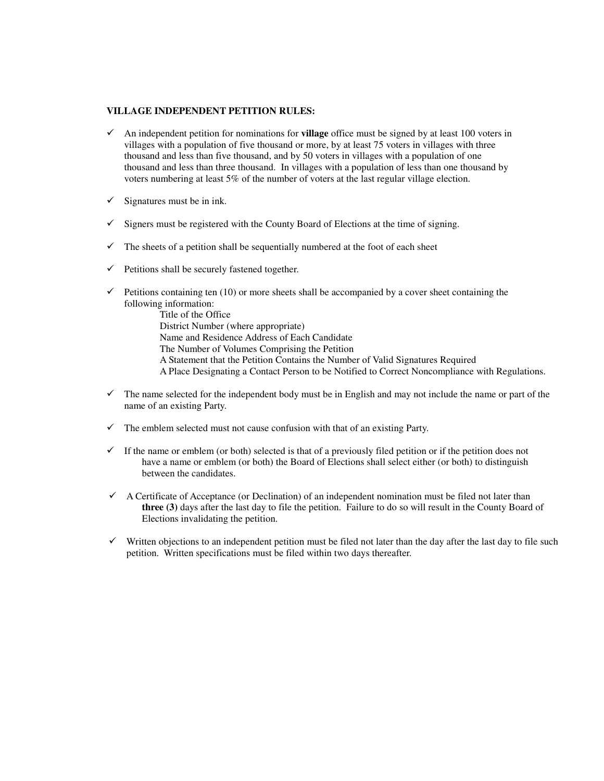#### **VILLAGE INDEPENDENT PETITION RULES:**

- $\checkmark$  An independent petition for nominations for **village** office must be signed by at least 100 voters in villages with a population of five thousand or more, by at least 75 voters in villages with three thousand and less than five thousand, and by 50 voters in villages with a population of one thousand and less than three thousand. In villages with a population of less than one thousand by voters numbering at least 5% of the number of voters at the last regular village election.
- $\checkmark$  Signatures must be in ink.
- $\checkmark$  Signers must be registered with the County Board of Elections at the time of signing.
- $\checkmark$  The sheets of a petition shall be sequentially numbered at the foot of each sheet
- $\checkmark$  Petitions shall be securely fastened together.
- $\checkmark$  Petitions containing ten (10) or more sheets shall be accompanied by a cover sheet containing the following information: Title of the Office
	- District Number (where appropriate)
	- Name and Residence Address of Each Candidate
	- The Number of Volumes Comprising the Petition
	- A Statement that the Petition Contains the Number of Valid Signatures Required
	- A Place Designating a Contact Person to be Notified to Correct Noncompliance with Regulations.
- $\checkmark$  The name selected for the independent body must be in English and may not include the name or part of the name of an existing Party.
- $\checkmark$  The emblem selected must not cause confusion with that of an existing Party.
- $\checkmark$  If the name or emblem (or both) selected is that of a previously filed petition or if the petition does not have a name or emblem (or both) the Board of Elections shall select either (or both) to distinguish between the candidates.
- $\checkmark$  A Certificate of Acceptance (or Declination) of an independent nomination must be filed not later than **three (3)** days after the last day to file the petition. Failure to do so will result in the County Board of Elections invalidating the petition.
- $\checkmark$  Written objections to an independent petition must be filed not later than the day after the last day to file such petition. Written specifications must be filed within two days thereafter.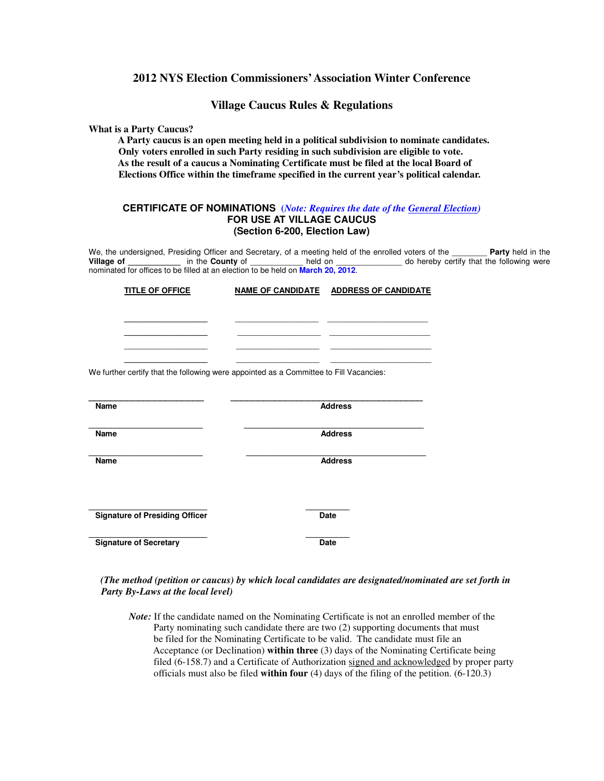# **2012 NYS Election Commissioners' Association Winter Conference**

## **Village Caucus Rules & Regulations**

**What is a Party Caucus?** 

 **A Party caucus is an open meeting held in a political subdivision to nominate candidates. Only voters enrolled in such Party residing in such subdivision are eligible to vote. As the result of a caucus a Nominating Certificate must be filed at the local Board of Elections Office within the timeframe specified in the current year's political calendar.** 

#### **CERTIFICATE OF NOMINATIONS (***Note: Requires the date of the General Election)*  **FOR USE AT VILLAGE CAUCUS (Section 6-200, Election Law)**

We, the undersigned, Presiding Officer and Secretary, of a meeting held of the enrolled voters of the **Party held in the Village of The County of County of County and Secretary**, held on **Number 2014** do hereby certify tha **Linux** do hereby certify that the following were nominated for offices to be filled at an election to be held on **March 20, 2012**.

| <b>TITLE OF OFFICE</b>                                                                 | NAME OF CANDIDATE ADDRESS OF CANDIDATE |  |
|----------------------------------------------------------------------------------------|----------------------------------------|--|
|                                                                                        |                                        |  |
|                                                                                        |                                        |  |
| We further certify that the following were appointed as a Committee to Fill Vacancies: |                                        |  |
| Name                                                                                   | <b>Address</b>                         |  |
| Name                                                                                   | <b>Address</b>                         |  |
| <b>Name</b>                                                                            | <b>Address</b>                         |  |
|                                                                                        |                                        |  |
| <b>Signature of Presiding Officer</b>                                                  | <b>Date</b>                            |  |
| <b>Signature of Secretary</b>                                                          | Date                                   |  |

#### *(The method (petition or caucus) by which local candidates are designated/nominated are set forth in Party By-Laws at the local level)*

*Note:* If the candidate named on the Nominating Certificate is not an enrolled member of the Party nominating such candidate there are two (2) supporting documents that must be filed for the Nominating Certificate to be valid. The candidate must file an Acceptance (or Declination) **within three** (3) days of the Nominating Certificate being filed (6-158.7) and a Certificate of Authorization signed and acknowledged by proper party officials must also be filed **within four** (4) days of the filing of the petition. (6-120.3)